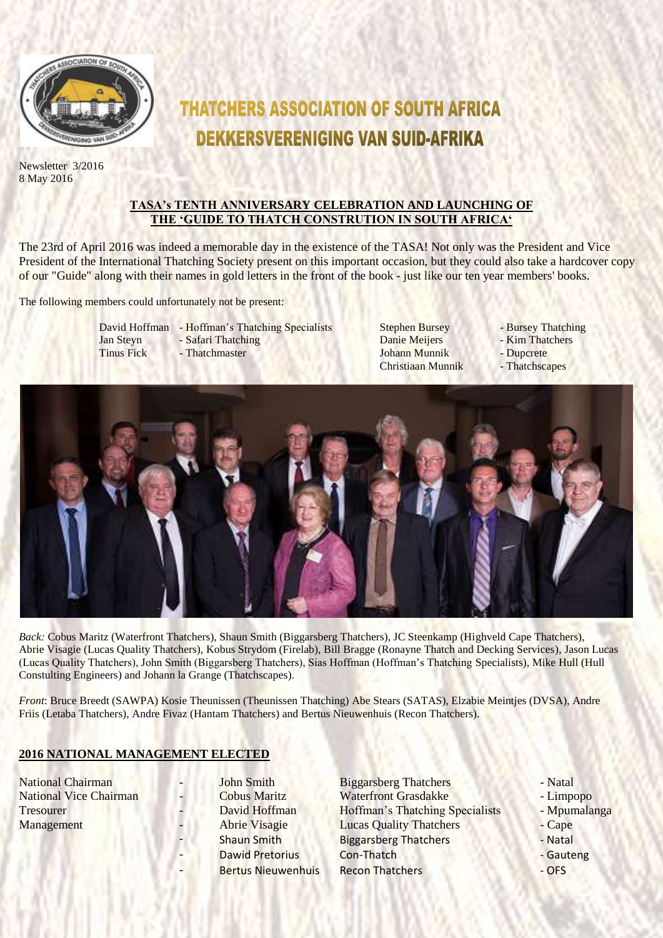

Newsletter 3/2016 8 May 2016

# **THATCHERS ASSOCIATION OF SOUTH AFRICA DEKKERSVERENIGING VAN SUID-AFRIKA**

# **TASA's TENTH ANNIVERSARY CELEBRATION AND LAUNCHING OF THE 'GUIDE TO THATCH CONSTRUTION IN SOUTH AFRICA'**

The 23rd of April 2016 was indeed a memorable day in the existence of the TASA! Not only was the President and Vice President of the International Thatching Society present on this important occasion, but they could also take a hardcover copy of our "Guide" along with their names in gold letters in the front of the book - just like our ten year members' books.

The following members could unfortunately not be present:

- 
- David Hoffman Hoffman's Thatching Specialists Stephen Bursey Bursey Thatching<br>
Jan Stevn Safari Thatching Danie Meijers Kim Thatchers Jan Steyn - Safari Thatching Danie Meijers - Kim Thatchers Tinus Fick - Thatchmaster **The Communisty Communisty Communisty** - Dupcrete

Christiaan Munnik - Thatchscapes

- 
- 
- 



*Back:* Cobus Maritz (Waterfront Thatchers), Shaun Smith (Biggarsberg Thatchers), JC Steenkamp (Highveld Cape Thatchers), Abrie Visagie (Lucas Quality Thatchers), Kobus Strydom (Firelab), Bill Bragge (Ronayne Thatch and Decking Services), Jason Lucas (Lucas Quality Thatchers), John Smith (Biggarsberg Thatchers), Sias Hoffman (Hoffman's Thatching Specialists), Mike Hull (Hull Constulting Engineers) and Johann la Grange (Thatchscapes).

*Front*: Bruce Breedt (SAWPA) Kosie Theunissen (Theunissen Thatching) Abe Stears (SATAS), Elzabie Meintjes (DVSA), Andre Friis (Letaba Thatchers), Andre Fivaz (Hantam Thatchers) and Bertus Nieuwenhuis (Recon Thatchers).

# **2016 NATIONAL MANAGEMENT ELECTED**

National Chairman 1986 - John Smith Biggarsberg Thatchers - Natal<br>National Vice Chairman 1986 - Cobus Maritz 1986 - Natal Waterfront Grasdakke National Vice Chairman - Cobus Maritz Waterfront Grasdakke - Limpopo Tresourer **- David Hoffman** Hoffman's Thatching Specialists - Mpumalanga Management - Abrie Visagie Lucas Quality Thatchers - Cape Shaun Smith Biggarsberg Thatchers - Natal Dawid Pretorius Con-Thatch - Gauteng Bertus Nieuwenhuis Recon Thatchers **COLLAGE COLLAGE ACCORD RETAINER AREA** 

- 
- 
- 
- 
-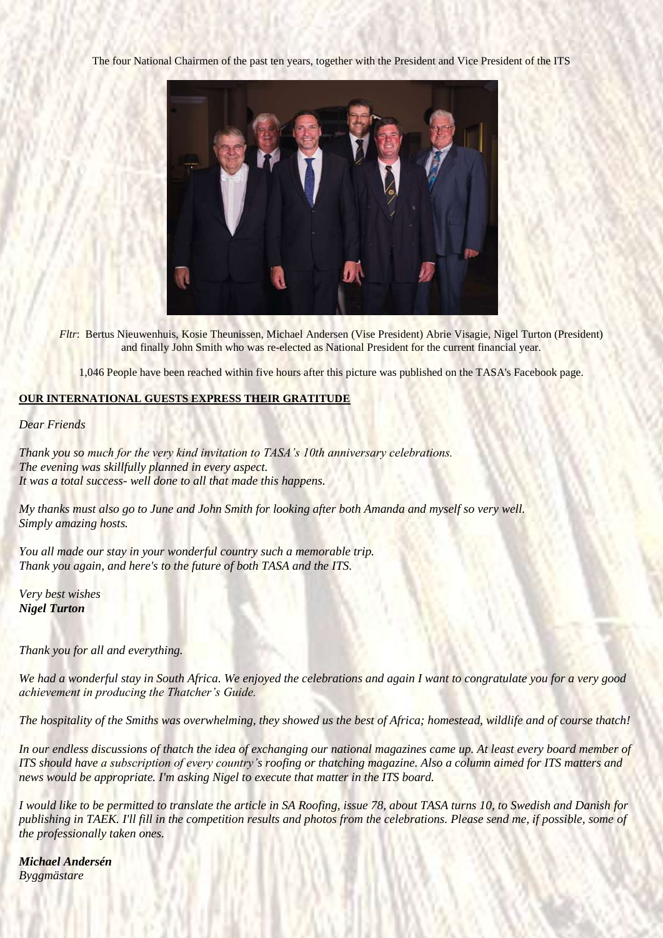The four National Chairmen of the past ten years, together with the President and Vice President of the ITS



*Fltr*: Bertus Nieuwenhuis, Kosie Theunissen, Michael Andersen (Vise President) Abrie Visagie, Nigel Turton (President) and finally John Smith who was re-elected as National President for the current financial year.

1,046 People have been reached within five hours after this picture was published on the TASA's Facebook page.

#### **OUR INTERNATIONAL GUESTS EXPRESS THEIR GRATITUDE**

*Dear Friends*

*Thank you so much for the very kind invitation to TASA's 10th anniversary celebrations. The evening was skillfully planned in every aspect. It was a total success- well done to all that made this happens.*

*My thanks must also go to June and John Smith for looking after both Amanda and myself so very well. Simply amazing hosts.*

*You all made our stay in your wonderful country such a memorable trip. Thank you again, and here's to the future of both TASA and the ITS.*

*Very best wishes Nigel Turton*

*Thank you for all and everything.*

*We had a wonderful stay in South Africa. We enjoyed the celebrations and again I want to congratulate you for a very good achievement in producing the Thatcher's Guide.*

*The hospitality of the Smiths was overwhelming, they showed us the best of Africa; homestead, wildlife and of course thatch!*

*In our endless discussions of thatch the idea of exchanging our national magazines came up. At least every board member of ITS should have a subscription of every country's roofing or thatching magazine. Also a column aimed for ITS matters and news would be appropriate. I'm asking Nigel to execute that matter in the ITS board.*

*I would like to be permitted to translate the article in SA Roofing, issue 78, about TASA turns 10, to Swedish and Danish for publishing in TAEK. I'll fill in the competition results and photos from the celebrations. Please send me, if possible, some of the professionally taken ones.*

*Michael Andersén Byggmästare*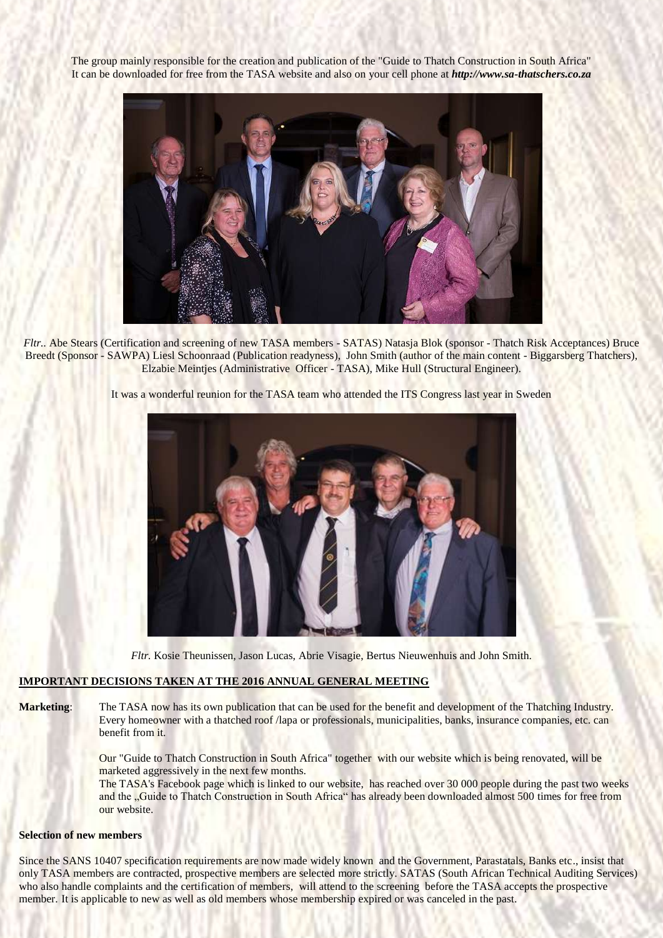The group mainly responsible for the creation and publication of the "Guide to Thatch Construction in South Africa" It can be downloaded for free from the TASA website and also on your cell phone at *[http://www.sa-thatschers.co.za](http://www.sa-thatschers.co.za/)*



*Fltr..* Abe Stears (Certification and screening of new TASA members - SATAS) Natasja Blok (sponsor - Thatch Risk Acceptances) Bruce Breedt (Sponsor - SAWPA) Liesl Schoonraad (Publication readyness), John Smith (author of the main content - Biggarsberg Thatchers), Elzabie Meintjes (Administrative Officer - TASA), Mike Hull (Structural Engineer).

It was a wonderful reunion for the TASA team who attended the ITS Congress last year in Sweden



*Fltr.* Kosie Theunissen, Jason Lucas, Abrie Visagie, Bertus Nieuwenhuis and John Smith.

#### **IMPORTANT DECISIONS TAKEN AT THE 2016 ANNUAL GENERAL MEETING**

**Marketing**: The TASA now has its own publication that can be used for the benefit and development of the Thatching Industry. Every homeowner with a thatched roof /lapa or professionals, municipalities, banks, insurance companies, etc. can benefit from it.

> Our "Guide to Thatch Construction in South Africa" together with our website which is being renovated, will be marketed aggressively in the next few months.

The TASA's Facebook page which is linked to our website, has reached over 30 000 people during the past two weeks and the "Guide to Thatch Construction in South Africa" has already been downloaded almost 500 times for free from our website.

#### **Selection of new members**

Since the SANS 10407 specification requirements are now made widely known and the Government, Parastatals, Banks etc., insist that only TASA members are contracted, prospective members are selected more strictly. SATAS (South African Technical Auditing Services) who also handle complaints and the certification of members, will attend to the screening before the TASA accepts the prospective member. It is applicable to new as well as old members whose membership expired or was canceled in the past.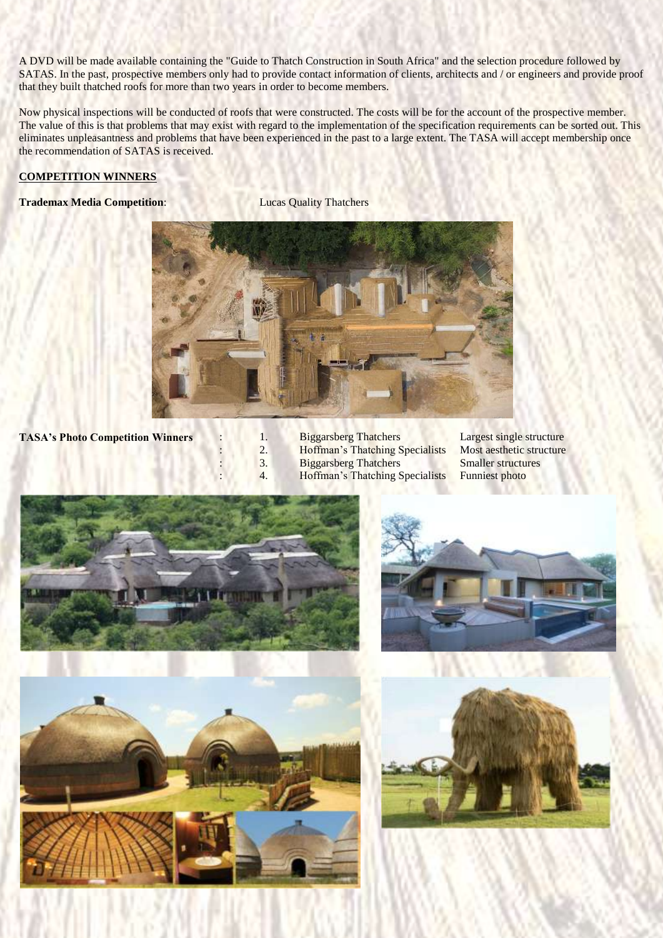A DVD will be made available containing the "Guide to Thatch Construction in South Africa" and the selection procedure followed by SATAS. In the past, prospective members only had to provide contact information of clients, architects and / or engineers and provide proof that they built thatched roofs for more than two years in order to become members.

Now physical inspections will be conducted of roofs that were constructed. The costs will be for the account of the prospective member. The value of this is that problems that may exist with regard to the implementation of the specification requirements can be sorted out. This eliminates unpleasantness and problems that have been experienced in the past to a large extent. The TASA will accept membership once the recommendation of SATAS is received.

### **COMPETITION WINNERS**

# **Trademax Media Competition:** Lucas Quality Thatchers



**TASA's Photo Competition Winners** : 1. Biggarsberg Thatchers Largest single structure

- 
- 
- : 3. Biggarsberg Thatchers Smaller structures
- 4. Hoffman's Thatching Specialists Funniest photo

2. Hoffman's Thatching Specialists Most aesthetic structure